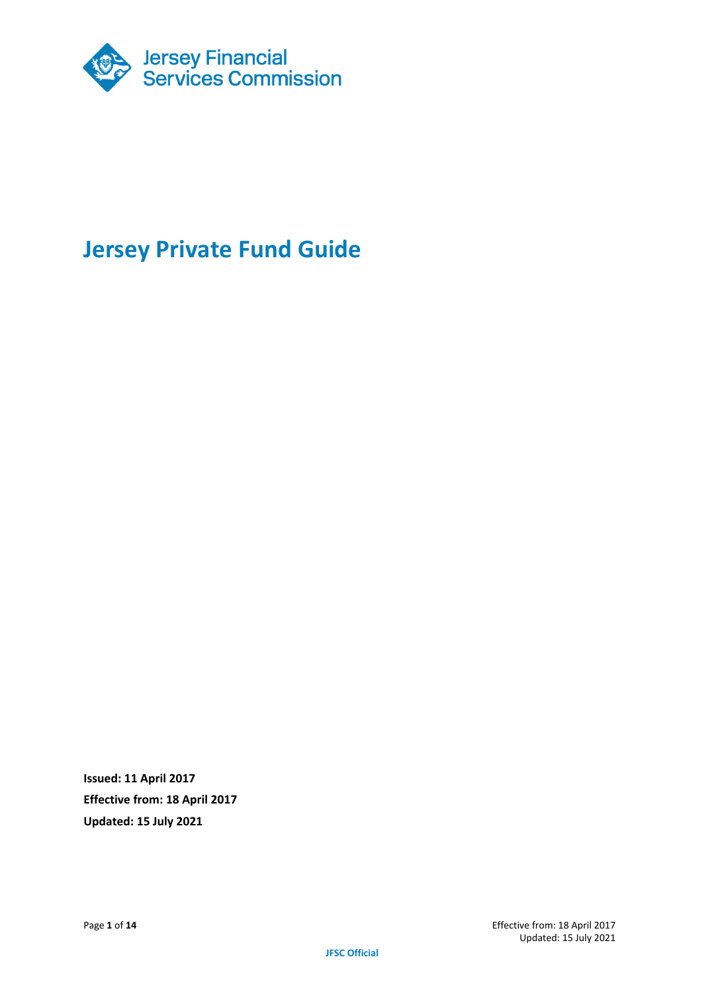

# **Jersey Private Fund Guide**

**Issued: 11 April 2017 Effective from: 18 April 2017 Updated: 15 July 2021**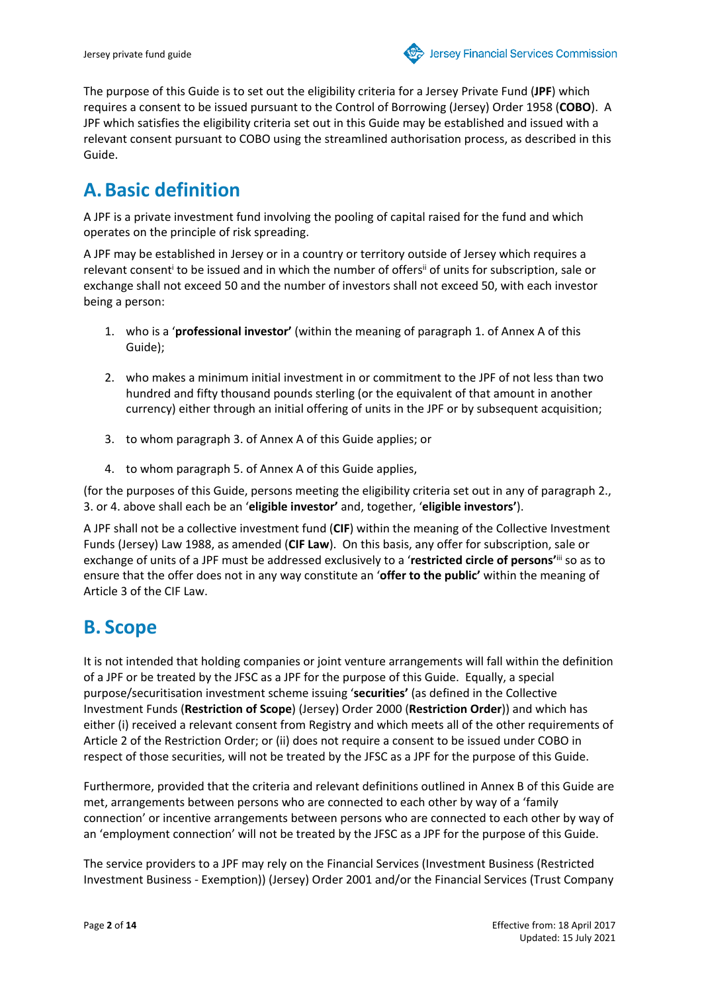The purpose of this Guide is to set out the eligibility criteria for a Jersey Private Fund (**JPF**) which requires a consent to be issued pursuant to the Control of Borrowing (Jersey) Order 1958 (**COBO**). A JPF which satisfies the eligibility criteria set out in this Guide may be established and issued with a relevant consent pursuant to COBO using the streamlined authorisation process, as described in this Guide.

## **A. Basic definition**

A JPF is a private investment fund involving the pooling of capital raised for the fund and which operates on the principle of risk spreading.

A JPF may be established in Jersey or in a country or territory outside of Jersey which requires a relevant consent<sup>i</sup> to be issued and in which the number of offers<sup>ii</sup> of units for subscription, sale or exchange shall not exceed 50 and the number of investors shall not exceed 50, with each investor being a person:

- 1. who is a '**professional investor'** (within the meaning of paragraph 1. of Annex A of this Guide);
- 2. who makes a minimum initial investment in or commitment to the JPF of not less than two hundred and fifty thousand pounds sterling (or the equivalent of that amount in another currency) either through an initial offering of units in the JPF or by subsequent acquisition;
- 3. to whom paragraph 3. of Annex A of this Guide applies; or
- 4. to whom paragraph 5. of Annex A of this Guide applies,

(for the purposes of this Guide, persons meeting the eligibility criteria set out in any of paragraph 2., 3. or 4. above shall each be an '**eligible investor'** and, together, '**eligible investors'**).

A JPF shall not be a collective investment fund (**CIF**) within the meaning of the Collective Investment Funds (Jersey) Law 1988, as amended (**CIF Law**). On this basis, any offer for subscription, sale or exchange of units of a JPF must be addressed exclusively to a '**restricted circle of persons'**iii so as to ensure that the offer does not in any way constitute an '**offer to the public'** within the meaning of Article 3 of the CIF Law.

# **B. Scope**

It is not intended that holding companies or joint venture arrangements will fall within the definition of a JPF or be treated by the JFSC as a JPF for the purpose of this Guide. Equally, a special purpose/securitisation investment scheme issuing '**securities'** (as defined in the Collective Investment Funds (**Restriction of Scope**) (Jersey) Order 2000 (**Restriction Order**)) and which has either (i) received a relevant consent from Registry and which meets all of the other requirements of Article 2 of the Restriction Order; or (ii) does not require a consent to be issued under COBO in respect of those securities, will not be treated by the JFSC as a JPF for the purpose of this Guide.

Furthermore, provided that the criteria and relevant definitions outlined in Annex B of this Guide are met, arrangements between persons who are connected to each other by way of a 'family connection' or incentive arrangements between persons who are connected to each other by way of an 'employment connection' will not be treated by the JFSC as a JPF for the purpose of this Guide.

The service providers to a JPF may rely on the Financial Services (Investment Business (Restricted Investment Business - Exemption)) (Jersey) Order 2001 and/or the Financial Services (Trust Company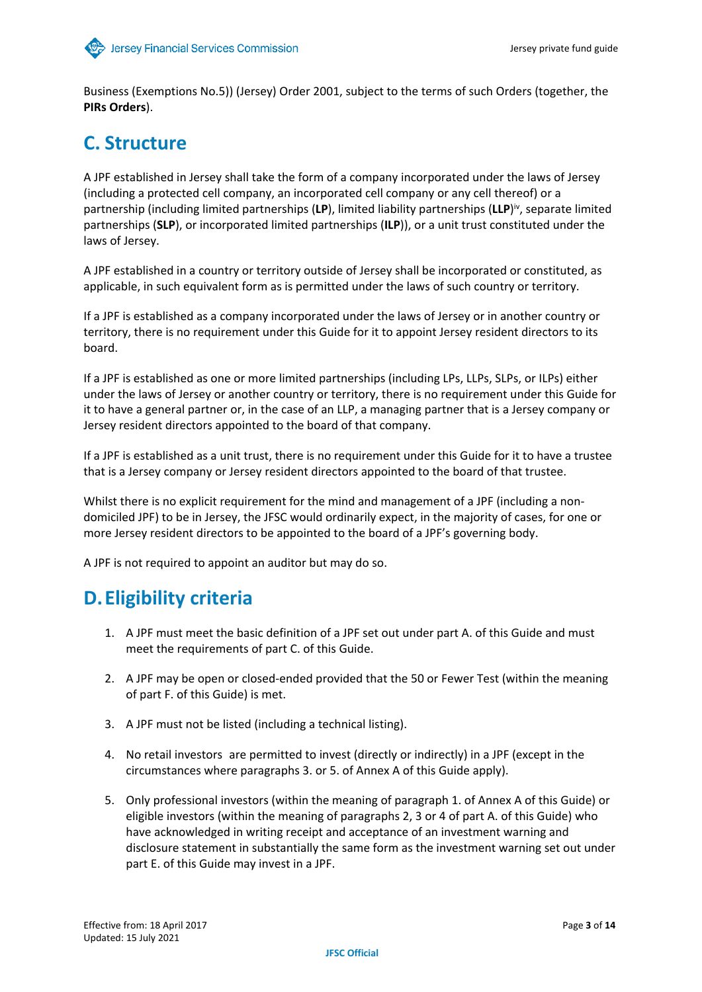Business (Exemptions No.5)) (Jersey) Order 2001, subject to the terms of such Orders (together, the **PIRs Orders**).

## **C. Structure**

A JPF established in Jersey shall take the form of a company incorporated under the laws of Jersey (including a protected cell company, an incorporated cell company or any cell thereof) or a partnership (including limited partnerships (LP), limited liability partnerships (LLP)<sup>iv</sup>, separate limited partnerships (**SLP**), or incorporated limited partnerships (**ILP**)), or a unit trust constituted under the laws of Jersey.

A JPF established in a country or territory outside of Jersey shall be incorporated or constituted, as applicable, in such equivalent form as is permitted under the laws of such country or territory.

If a JPF is established as a company incorporated under the laws of Jersey or in another country or territory, there is no requirement under this Guide for it to appoint Jersey resident directors to its board.

If a JPF is established as one or more limited partnerships (including LPs, LLPs, SLPs, or ILPs) either under the laws of Jersey or another country or territory, there is no requirement under this Guide for it to have a general partner or, in the case of an LLP, a managing partner that is a Jersey company or Jersey resident directors appointed to the board of that company.

If a JPF is established as a unit trust, there is no requirement under this Guide for it to have a trustee that is a Jersey company or Jersey resident directors appointed to the board of that trustee.

Whilst there is no explicit requirement for the mind and management of a JPF (including a nondomiciled JPF) to be in Jersey, the JFSC would ordinarily expect, in the majority of cases, for one or more Jersey resident directors to be appointed to the board of a JPF's governing body.

A JPF is not required to appoint an auditor but may do so.

## **D.Eligibility criteria**

- 1. A JPF must meet the basic definition of a JPF set out under part A. of this Guide and must meet the requirements of part C. of this Guide.
- 2. A JPF may be open or closed-ended provided that the 50 or Fewer Test (within the meaning of part F. of this Guide) is met.
- 3. A JPF must not be listed (including a technical listing).
- 4. No retail investors are permitted to invest (directly or indirectly) in a JPF (except in the circumstances where paragraphs 3. or 5. of Annex A of this Guide apply).
- 5. Only professional investors (within the meaning of paragraph 1. of Annex A of this Guide) or eligible investors (within the meaning of paragraphs 2, 3 or 4 of part A. of this Guide) who have acknowledged in writing receipt and acceptance of an investment warning and disclosure statement in substantially the same form as the investment warning set out under part E. of this Guide may invest in a JPF.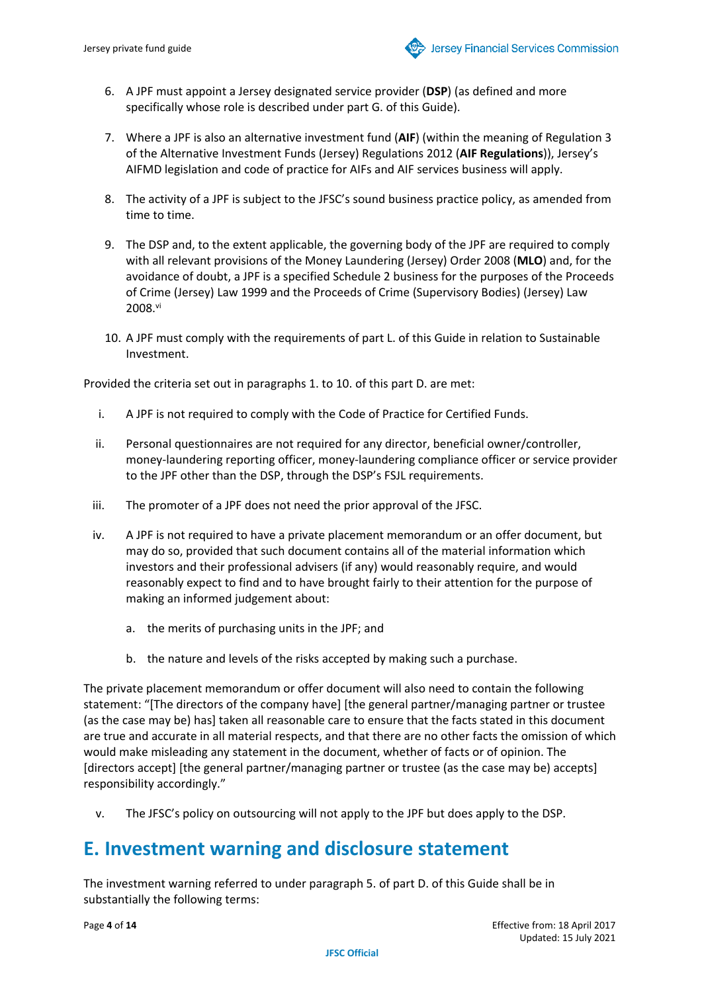- 6. A JPF must appoint a Jersey designated service provider (**DSP**) (as defined and more specifically whose role is described under part G. of this Guide).
- 7. Where a JPF is also an alternative investment fund (**AIF**) (within the meaning of Regulation 3 of the Alternative Investment Funds (Jersey) Regulations 2012 (**AIF Regulations**)), Jersey's AIFMD legislation and code of practice for AIFs and AIF services business will apply.
- 8. The activity of a JPF is subject to the JFSC's sound business practice policy, as amended from time to time.
- 9. The DSP and, to the extent applicable, the governing body of the JPF are required to comply with all relevant provisions of the Money Laundering (Jersey) Order 2008 (**MLO**) and, for the avoidance of doubt, a JPF is a specified Schedule 2 business for the purposes of the Proceeds of Crime (Jersey) Law 1999 and the Proceeds of Crime (Supervisory Bodies) (Jersey) Law 2008.vi
- 10. A JPF must comply with the requirements of part L. of this Guide in relation to Sustainable Investment.

Provided the criteria set out in paragraphs 1. to 10. of this part D. are met:

- i. A JPF is not required to comply with the Code of Practice for Certified Funds.
- ii. Personal questionnaires are not required for any director, beneficial owner/controller, money-laundering reporting officer, money-laundering compliance officer or service provider to the JPF other than the DSP, through the DSP's FSJL requirements.
- iii. The promoter of a JPF does not need the prior approval of the JFSC.
- iv. A JPF is not required to have a private placement memorandum or an offer document, but may do so, provided that such document contains all of the material information which investors and their professional advisers (if any) would reasonably require, and would reasonably expect to find and to have brought fairly to their attention for the purpose of making an informed judgement about:
	- a. the merits of purchasing units in the JPF; and
	- b. the nature and levels of the risks accepted by making such a purchase.

The private placement memorandum or offer document will also need to contain the following statement: "[The directors of the company have] [the general partner/managing partner or trustee (as the case may be) has] taken all reasonable care to ensure that the facts stated in this document are true and accurate in all material respects, and that there are no other facts the omission of which would make misleading any statement in the document, whether of facts or of opinion. The [directors accept] [the general partner/managing partner or trustee (as the case may be) accepts] responsibility accordingly."

v. The JFSC's policy on outsourcing will not apply to the JPF but does apply to the DSP.

#### **E. Investment warning and disclosure statement**

The investment warning referred to under paragraph 5. of part D. of this Guide shall be in substantially the following terms: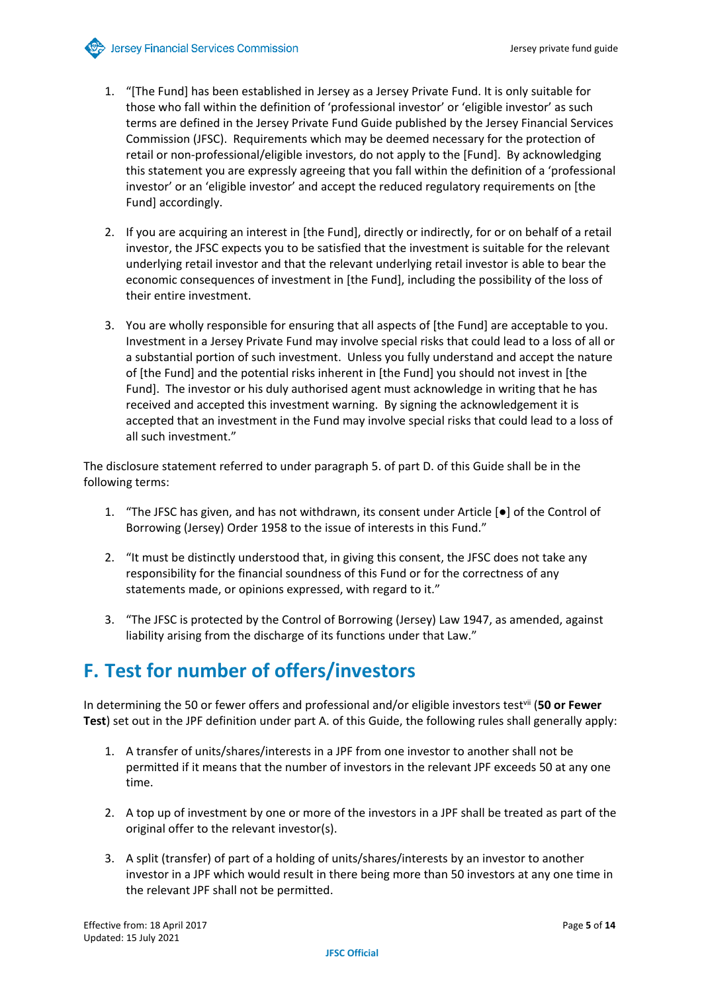- 1. "[The Fund] has been established in Jersey as a Jersey Private Fund. It is only suitable for those who fall within the definition of 'professional investor' or 'eligible investor' as such terms are defined in the Jersey Private Fund Guide published by the Jersey Financial Services Commission (JFSC). Requirements which may be deemed necessary for the protection of retail or non-professional/eligible investors, do not apply to the [Fund]. By acknowledging this statement you are expressly agreeing that you fall within the definition of a 'professional investor' or an 'eligible investor' and accept the reduced regulatory requirements on [the Fund] accordingly.
- 2. If you are acquiring an interest in [the Fund], directly or indirectly, for or on behalf of a retail investor, the JFSC expects you to be satisfied that the investment is suitable for the relevant underlying retail investor and that the relevant underlying retail investor is able to bear the economic consequences of investment in [the Fund], including the possibility of the loss of their entire investment.
- 3. You are wholly responsible for ensuring that all aspects of [the Fund] are acceptable to you. Investment in a Jersey Private Fund may involve special risks that could lead to a loss of all or a substantial portion of such investment. Unless you fully understand and accept the nature of [the Fund] and the potential risks inherent in [the Fund] you should not invest in [the Fund]. The investor or his duly authorised agent must acknowledge in writing that he has received and accepted this investment warning. By signing the acknowledgement it is accepted that an investment in the Fund may involve special risks that could lead to a loss of all such investment."

The disclosure statement referred to under paragraph 5. of part D. of this Guide shall be in the following terms:

- 1. "The JFSC has given, and has not withdrawn, its consent under Article [●] of the Control of Borrowing (Jersey) Order 1958 to the issue of interests in this Fund."
- 2. "It must be distinctly understood that, in giving this consent, the JFSC does not take any responsibility for the financial soundness of this Fund or for the correctness of any statements made, or opinions expressed, with regard to it."
- 3. "The JFSC is protected by the Control of Borrowing (Jersey) Law 1947, as amended, against liability arising from the discharge of its functions under that Law."

#### **F. Test for number of offers/investors**

In determining the 50 or fewer offers and professional and/or eligible investors testvii (**50 or Fewer Test**) set out in the JPF definition under part A. of this Guide, the following rules shall generally apply:

- 1. A transfer of units/shares/interests in a JPF from one investor to another shall not be permitted if it means that the number of investors in the relevant JPF exceeds 50 at any one time.
- 2. A top up of investment by one or more of the investors in a JPF shall be treated as part of the original offer to the relevant investor(s).
- 3. A split (transfer) of part of a holding of units/shares/interests by an investor to another investor in a JPF which would result in there being more than 50 investors at any one time in the relevant JPF shall not be permitted.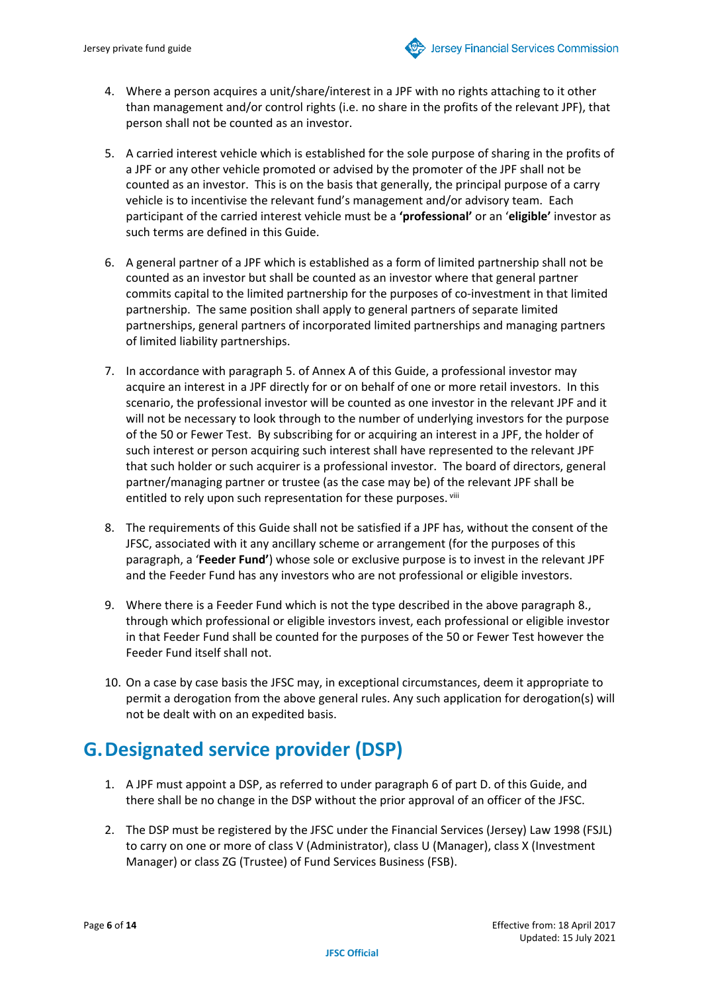- 4. Where a person acquires a unit/share/interest in a JPF with no rights attaching to it other than management and/or control rights (i.e. no share in the profits of the relevant JPF), that person shall not be counted as an investor.
- 5. A carried interest vehicle which is established for the sole purpose of sharing in the profits of a JPF or any other vehicle promoted or advised by the promoter of the JPF shall not be counted as an investor. This is on the basis that generally, the principal purpose of a carry vehicle is to incentivise the relevant fund's management and/or advisory team. Each participant of the carried interest vehicle must be a **'professional'** or an '**eligible'** investor as such terms are defined in this Guide.
- 6. A general partner of a JPF which is established as a form of limited partnership shall not be counted as an investor but shall be counted as an investor where that general partner commits capital to the limited partnership for the purposes of co-investment in that limited partnership. The same position shall apply to general partners of separate limited partnerships, general partners of incorporated limited partnerships and managing partners of limited liability partnerships.
- 7. In accordance with paragraph 5. of Annex A of this Guide, a professional investor may acquire an interest in a JPF directly for or on behalf of one or more retail investors. In this scenario, the professional investor will be counted as one investor in the relevant JPF and it will not be necessary to look through to the number of underlying investors for the purpose of the 50 or Fewer Test. By subscribing for or acquiring an interest in a JPF, the holder of such interest or person acquiring such interest shall have represented to the relevant JPF that such holder or such acquirer is a professional investor. The board of directors, general partner/managing partner or trustee (as the case may be) of the relevant JPF shall be entitled to rely upon such representation for these purposes. Viii
- 8. The requirements of this Guide shall not be satisfied if a JPF has, without the consent of the JFSC, associated with it any ancillary scheme or arrangement (for the purposes of this paragraph, a '**Feeder Fund'**) whose sole or exclusive purpose is to invest in the relevant JPF and the Feeder Fund has any investors who are not professional or eligible investors.
- 9. Where there is a Feeder Fund which is not the type described in the above paragraph 8., through which professional or eligible investors invest, each professional or eligible investor in that Feeder Fund shall be counted for the purposes of the 50 or Fewer Test however the Feeder Fund itself shall not.
- 10. On a case by case basis the JFSC may, in exceptional circumstances, deem it appropriate to permit a derogation from the above general rules. Any such application for derogation(s) will not be dealt with on an expedited basis.

## **G.Designated service provider (DSP)**

- 1. A JPF must appoint a DSP, as referred to under paragraph 6 of part D. of this Guide, and there shall be no change in the DSP without the prior approval of an officer of the JFSC.
- 2. The DSP must be registered by the JFSC under the Financial Services (Jersey) Law 1998 (FSJL) to carry on one or more of class V (Administrator), class U (Manager), class X (Investment Manager) or class ZG (Trustee) of Fund Services Business (FSB).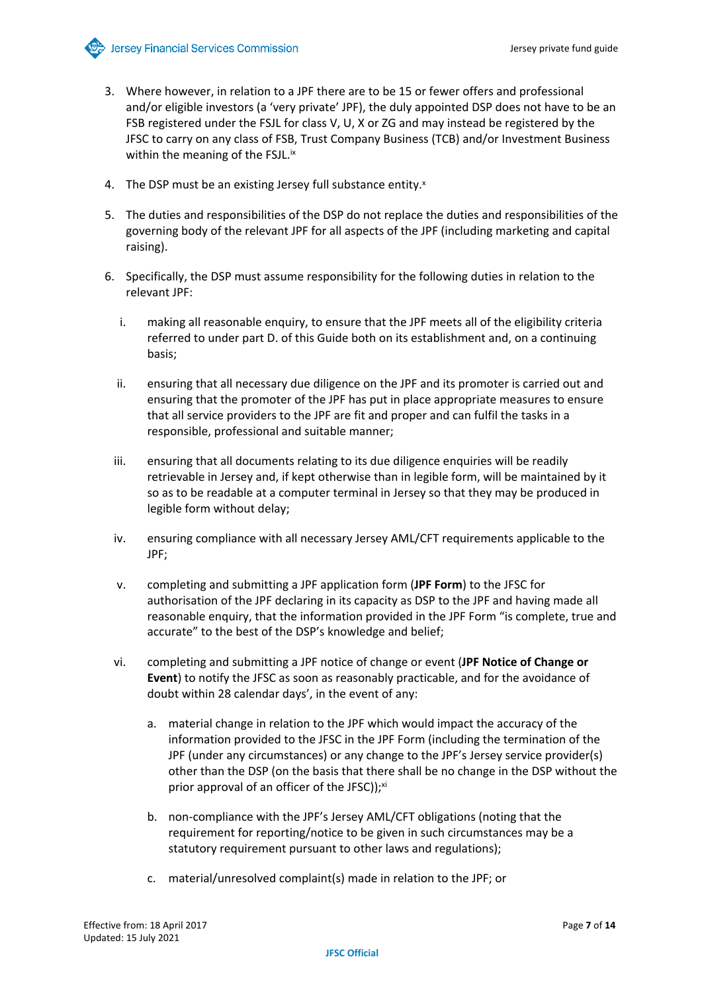- 3. Where however, in relation to a JPF there are to be 15 or fewer offers and professional and/or eligible investors (a 'very private' JPF), the duly appointed DSP does not have to be an FSB registered under the FSJL for class V, U, X or ZG and may instead be registered by the JFSC to carry on any class of FSB, Trust Company Business (TCB) and/or Investment Business within the meaning of the FSJL.<sup>ix</sup>
- 4. The DSP must be an existing Jersey full substance entity.<sup>x</sup>
- 5. The duties and responsibilities of the DSP do not replace the duties and responsibilities of the governing body of the relevant JPF for all aspects of the JPF (including marketing and capital raising).
- 6. Specifically, the DSP must assume responsibility for the following duties in relation to the relevant JPF:
	- i. making all reasonable enquiry, to ensure that the JPF meets all of the eligibility criteria referred to under part D. of this Guide both on its establishment and, on a continuing basis;
	- ii. ensuring that all necessary due diligence on the JPF and its promoter is carried out and ensuring that the promoter of the JPF has put in place appropriate measures to ensure that all service providers to the JPF are fit and proper and can fulfil the tasks in a responsible, professional and suitable manner;
	- iii. ensuring that all documents relating to its due diligence enquiries will be readily retrievable in Jersey and, if kept otherwise than in legible form, will be maintained by it so as to be readable at a computer terminal in Jersey so that they may be produced in legible form without delay;
	- iv. ensuring compliance with all necessary Jersey AML/CFT requirements applicable to the JPF;
	- v. completing and submitting a JPF application form (**JPF Form**) to the JFSC for authorisation of the JPF declaring in its capacity as DSP to the JPF and having made all reasonable enquiry, that the information provided in the JPF Form "is complete, true and accurate" to the best of the DSP's knowledge and belief;
	- vi. completing and submitting a JPF notice of change or event (**JPF Notice of Change or Event**) to notify the JFSC as soon as reasonably practicable, and for the avoidance of doubt within 28 calendar days', in the event of any:
		- a. material change in relation to the JPF which would impact the accuracy of the information provided to the JFSC in the JPF Form (including the termination of the JPF (under any circumstances) or any change to the JPF's Jersey service provider(s) other than the DSP (on the basis that there shall be no change in the DSP without the prior approval of an officer of the JFSC));<sup>xi</sup>
		- b. non-compliance with the JPF's Jersey AML/CFT obligations (noting that the requirement for reporting/notice to be given in such circumstances may be a statutory requirement pursuant to other laws and regulations);
		- c. material/unresolved complaint(s) made in relation to the JPF; or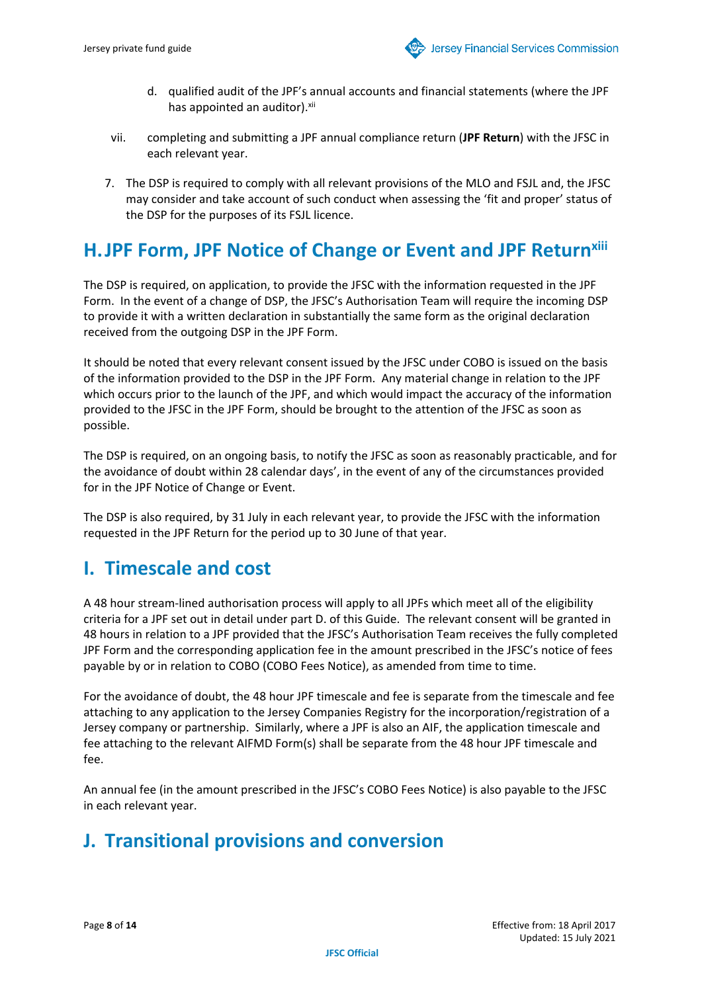- d. qualified audit of the JPF's annual accounts and financial statements (where the JPF has appointed an auditor).<sup>xii</sup>
- vii. completing and submitting a JPF annual compliance return (**JPF Return**) with the JFSC in each relevant year.
- 7. The DSP is required to comply with all relevant provisions of the MLO and FSJL and, the JFSC may consider and take account of such conduct when assessing the 'fit and proper' status of the DSP for the purposes of its FSJL licence.

#### **H.JPF Form, JPF Notice of Change or Event and JPF Returnxiii**

The DSP is required, on application, to provide the JFSC with the information requested in the JPF Form. In the event of a change of DSP, the JFSC's Authorisation Team will require the incoming DSP to provide it with a written declaration in substantially the same form as the original declaration received from the outgoing DSP in the JPF Form.

It should be noted that every relevant consent issued by the JFSC under COBO is issued on the basis of the information provided to the DSP in the JPF Form. Any material change in relation to the JPF which occurs prior to the launch of the JPF, and which would impact the accuracy of the information provided to the JFSC in the JPF Form, should be brought to the attention of the JFSC as soon as possible.

The DSP is required, on an ongoing basis, to notify the JFSC as soon as reasonably practicable, and for the avoidance of doubt within 28 calendar days', in the event of any of the circumstances provided for in the JPF Notice of Change or Event.

The DSP is also required, by 31 July in each relevant year, to provide the JFSC with the information requested in the JPF Return for the period up to 30 June of that year.

#### **I. Timescale and cost**

A 48 hour stream-lined authorisation process will apply to all JPFs which meet all of the eligibility criteria for a JPF set out in detail under part D. of this Guide. The relevant consent will be granted in 48 hours in relation to a JPF provided that the JFSC's Authorisation Team receives the fully completed JPF Form and the corresponding application fee in the amount prescribed in the JFSC's notice of fees payable by or in relation to COBO (COBO Fees Notice), as amended from time to time.

For the avoidance of doubt, the 48 hour JPF timescale and fee is separate from the timescale and fee attaching to any application to the Jersey Companies Registry for the incorporation/registration of a Jersey company or partnership. Similarly, where a JPF is also an AIF, the application timescale and fee attaching to the relevant AIFMD Form(s) shall be separate from the 48 hour JPF timescale and fee.

An annual fee (in the amount prescribed in the JFSC's COBO Fees Notice) is also payable to the JFSC in each relevant year.

## **J. Transitional provisions and conversion**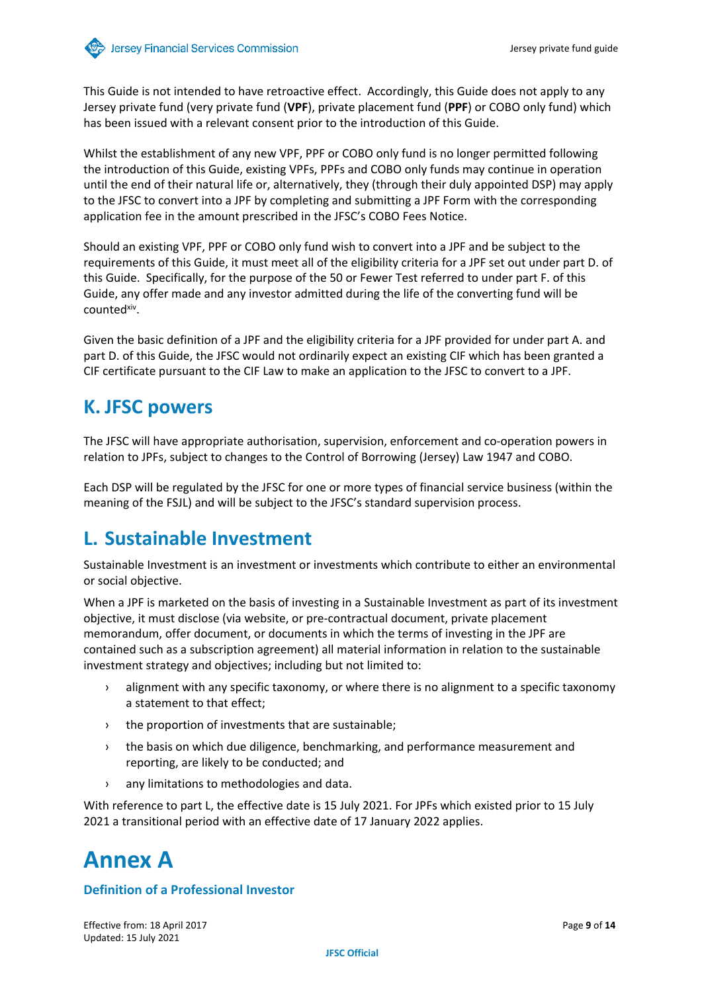This Guide is not intended to have retroactive effect. Accordingly, this Guide does not apply to any Jersey private fund (very private fund (**VPF**), private placement fund (**PPF**) or COBO only fund) which has been issued with a relevant consent prior to the introduction of this Guide.

Whilst the establishment of any new VPF, PPF or COBO only fund is no longer permitted following the introduction of this Guide, existing VPFs, PPFs and COBO only funds may continue in operation until the end of their natural life or, alternatively, they (through their duly appointed DSP) may apply to the JFSC to convert into a JPF by completing and submitting a JPF Form with the corresponding application fee in the amount prescribed in the JFSC's COBO Fees Notice.

Should an existing VPF, PPF or COBO only fund wish to convert into a JPF and be subject to the requirements of this Guide, it must meet all of the eligibility criteria for a JPF set out under part D. of this Guide. Specifically, for the purpose of the 50 or Fewer Test referred to under part F. of this Guide, any offer made and any investor admitted during the life of the converting fund will be counted<sup>xiv</sup>.

Given the basic definition of a JPF and the eligibility criteria for a JPF provided for under part A. and part D. of this Guide, the JFSC would not ordinarily expect an existing CIF which has been granted a CIF certificate pursuant to the CIF Law to make an application to the JFSC to convert to a JPF.

## **K. JFSC powers**

The JFSC will have appropriate authorisation, supervision, enforcement and co-operation powers in relation to JPFs, subject to changes to the Control of Borrowing (Jersey) Law 1947 and COBO.

Each DSP will be regulated by the JFSC for one or more types of financial service business (within the meaning of the FSJL) and will be subject to the JFSC's standard supervision process.

#### **L. Sustainable Investment**

Sustainable Investment is an investment or investments which contribute to either an environmental or social objective.

When a JPF is marketed on the basis of investing in a Sustainable Investment as part of its investment objective, it must disclose (via website, or pre-contractual document, private placement memorandum, offer document, or documents in which the terms of investing in the JPF are contained such as a subscription agreement) all material information in relation to the sustainable investment strategy and objectives; including but not limited to:

- › alignment with any specific taxonomy, or where there is no alignment to a specific taxonomy a statement to that effect;
- › the proportion of investments that are sustainable;
- › the basis on which due diligence, benchmarking, and performance measurement and reporting, are likely to be conducted; and
- › any limitations to methodologies and data.

With reference to part L, the effective date is 15 July 2021. For JPFs which existed prior to 15 July 2021 a transitional period with an effective date of 17 January 2022 applies.

# **Annex A**

#### **Definition of a Professional Investor**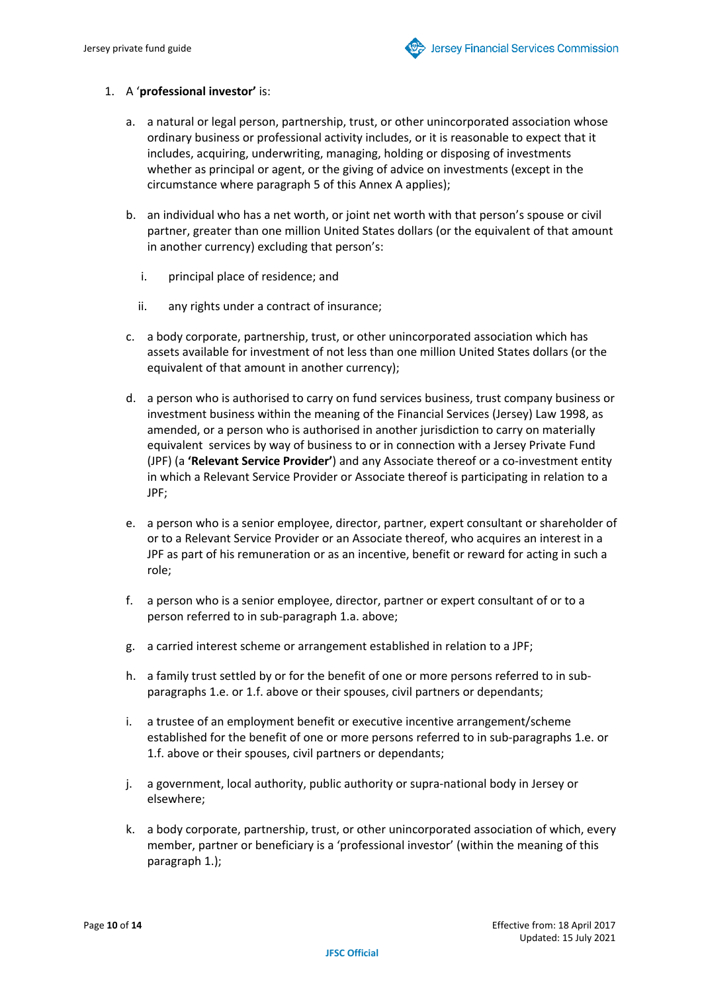#### 1. A '**professional investor'** is:

- a. a natural or legal person, partnership, trust, or other unincorporated association whose ordinary business or professional activity includes, or it is reasonable to expect that it includes, acquiring, underwriting, managing, holding or disposing of investments whether as principal or agent, or the giving of advice on investments (except in the circumstance where paragraph 5 of this Annex A applies);
- b. an individual who has a net worth, or joint net worth with that person's spouse or civil partner, greater than one million United States dollars (or the equivalent of that amount in another currency) excluding that person's:
	- i. principal place of residence; and
	- ii. any rights under a contract of insurance;
- c. a body corporate, partnership, trust, or other unincorporated association which has assets available for investment of not less than one million United States dollars (or the equivalent of that amount in another currency);
- d. a person who is authorised to carry on fund services business, trust company business or investment business within the meaning of the Financial Services (Jersey) Law 1998, as amended, or a person who is authorised in another jurisdiction to carry on materially equivalent services by way of business to or in connection with a Jersey Private Fund (JPF) (a **'Relevant Service Provider'**) and any Associate thereof or a co-investment entity in which a Relevant Service Provider or Associate thereof is participating in relation to a JPF;
- e. a person who is a senior employee, director, partner, expert consultant or shareholder of or to a Relevant Service Provider or an Associate thereof, who acquires an interest in a JPF as part of his remuneration or as an incentive, benefit or reward for acting in such a role;
- f. a person who is a senior employee, director, partner or expert consultant of or to a person referred to in sub-paragraph 1.a. above;
- g. a carried interest scheme or arrangement established in relation to a JPF;
- h. a family trust settled by or for the benefit of one or more persons referred to in subparagraphs 1.e. or 1.f. above or their spouses, civil partners or dependants;
- i. a trustee of an employment benefit or executive incentive arrangement/scheme established for the benefit of one or more persons referred to in sub-paragraphs 1.e. or 1.f. above or their spouses, civil partners or dependants;
- j. a government, local authority, public authority or supra-national body in Jersey or elsewhere;
- k. a body corporate, partnership, trust, or other unincorporated association of which, every member, partner or beneficiary is a 'professional investor' (within the meaning of this paragraph 1.);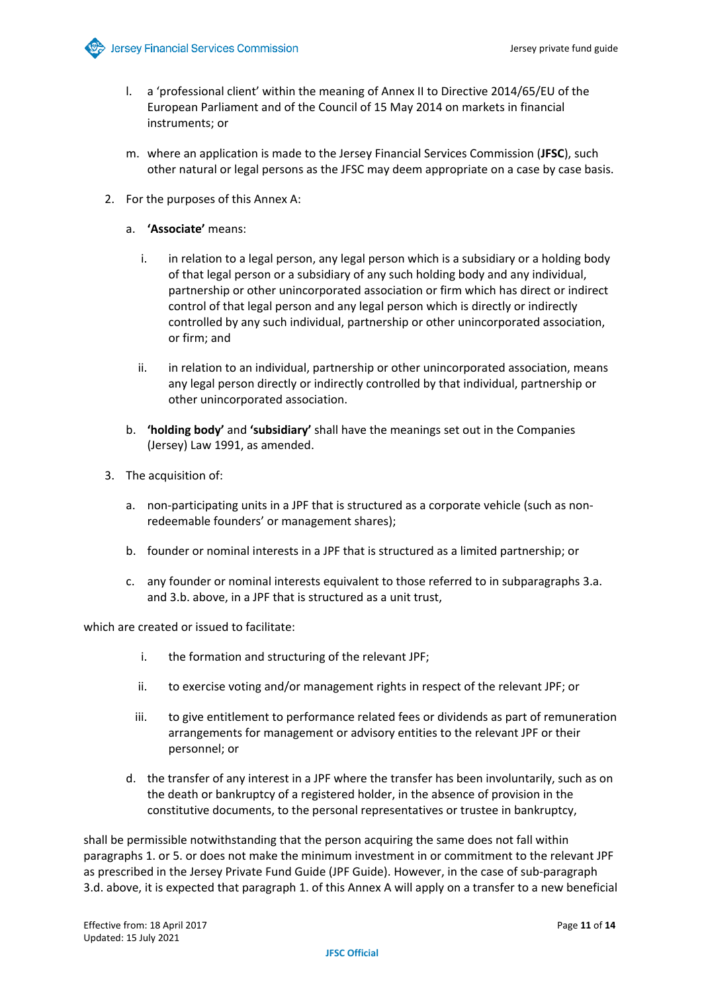

- l. a 'professional client' within the meaning of Annex II to Directive 2014/65/EU of the European Parliament and of the Council of 15 May 2014 on markets in financial instruments; or
- m. where an application is made to the Jersey Financial Services Commission (**JFSC**), such other natural or legal persons as the JFSC may deem appropriate on a case by case basis.
- 2. For the purposes of this Annex A:
	- a. **'Associate'** means:
		- i. in relation to a legal person, any legal person which is a subsidiary or a holding body of that legal person or a subsidiary of any such holding body and any individual, partnership or other unincorporated association or firm which has direct or indirect control of that legal person and any legal person which is directly or indirectly controlled by any such individual, partnership or other unincorporated association, or firm; and
		- ii. in relation to an individual, partnership or other unincorporated association, means any legal person directly or indirectly controlled by that individual, partnership or other unincorporated association.
	- b. **'holding body'** and **'subsidiary'** shall have the meanings set out in the Companies (Jersey) Law 1991, as amended.
- 3. The acquisition of:
	- a. non-participating units in a JPF that is structured as a corporate vehicle (such as nonredeemable founders' or management shares);
	- b. founder or nominal interests in a JPF that is structured as a limited partnership; or
	- c. any founder or nominal interests equivalent to those referred to in subparagraphs 3.a. and 3.b. above, in a JPF that is structured as a unit trust,

which are created or issued to facilitate:

- i. the formation and structuring of the relevant JPF;
- ii. to exercise voting and/or management rights in respect of the relevant JPF; or
- iii. to give entitlement to performance related fees or dividends as part of remuneration arrangements for management or advisory entities to the relevant JPF or their personnel; or
- d. the transfer of any interest in a JPF where the transfer has been involuntarily, such as on the death or bankruptcy of a registered holder, in the absence of provision in the constitutive documents, to the personal representatives or trustee in bankruptcy,

shall be permissible notwithstanding that the person acquiring the same does not fall within paragraphs 1. or 5. or does not make the minimum investment in or commitment to the relevant JPF as prescribed in the Jersey Private Fund Guide (JPF Guide). However, in the case of sub-paragraph 3.d. above, it is expected that paragraph 1. of this Annex A will apply on a transfer to a new beneficial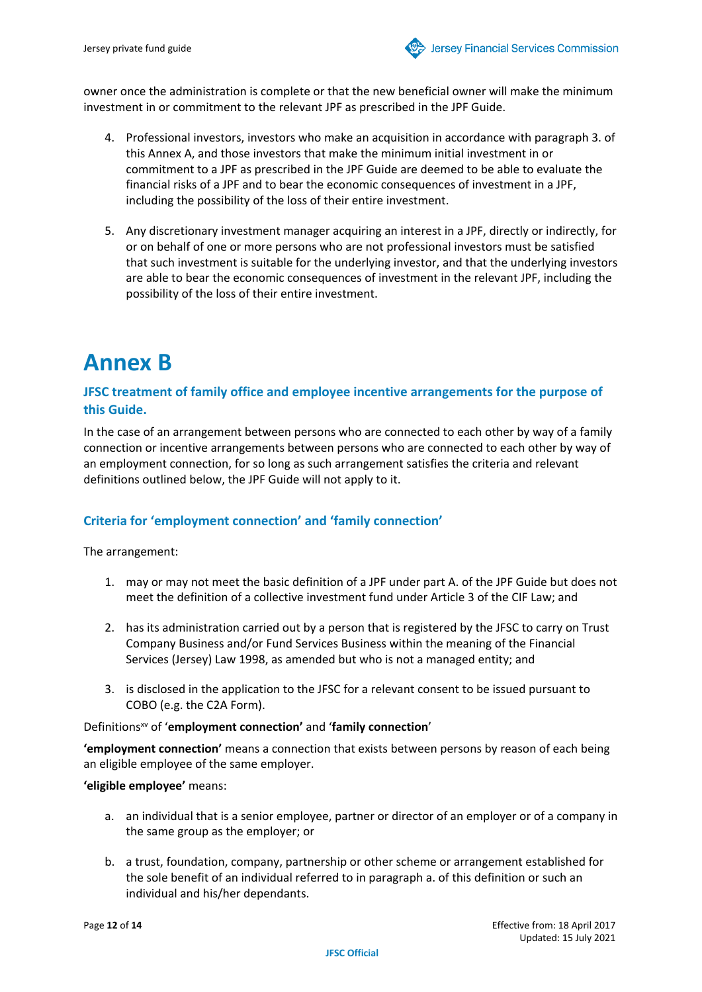owner once the administration is complete or that the new beneficial owner will make the minimum investment in or commitment to the relevant JPF as prescribed in the JPF Guide.

- 4. Professional investors, investors who make an acquisition in accordance with paragraph 3. of this Annex A, and those investors that make the minimum initial investment in or commitment to a JPF as prescribed in the JPF Guide are deemed to be able to evaluate the financial risks of a JPF and to bear the economic consequences of investment in a JPF, including the possibility of the loss of their entire investment.
- 5. Any discretionary investment manager acquiring an interest in a JPF, directly or indirectly, for or on behalf of one or more persons who are not professional investors must be satisfied that such investment is suitable for the underlying investor, and that the underlying investors are able to bear the economic consequences of investment in the relevant JPF, including the possibility of the loss of their entire investment.

# **Annex B**

#### **JFSC treatment of family office and employee incentive arrangements for the purpose of this Guide.**

In the case of an arrangement between persons who are connected to each other by way of a family connection or incentive arrangements between persons who are connected to each other by way of an employment connection, for so long as such arrangement satisfies the criteria and relevant definitions outlined below, the JPF Guide will not apply to it.

#### **Criteria for 'employment connection' and 'family connection'**

The arrangement:

- 1. may or may not meet the basic definition of a JPF under part A. of the JPF Guide but does not meet the definition of a collective investment fund under Article 3 of the CIF Law; and
- 2. has its administration carried out by a person that is registered by the JFSC to carry on Trust Company Business and/or Fund Services Business within the meaning of the Financial Services (Jersey) Law 1998, as amended but who is not a managed entity; and
- 3. is disclosed in the application to the JFSC for a relevant consent to be issued pursuant to COBO (e.g. the C2A Form).

Definitionsxv of '**employment connection'** and '**family connection**'

**'employment connection'** means a connection that exists between persons by reason of each being an eligible employee of the same employer.

#### **'eligible employee'** means:

- a. an individual that is a senior employee, partner or director of an employer or of a company in the same group as the employer; or
- b. a trust, foundation, company, partnership or other scheme or arrangement established for the sole benefit of an individual referred to in paragraph a. of this definition or such an individual and his/her dependants.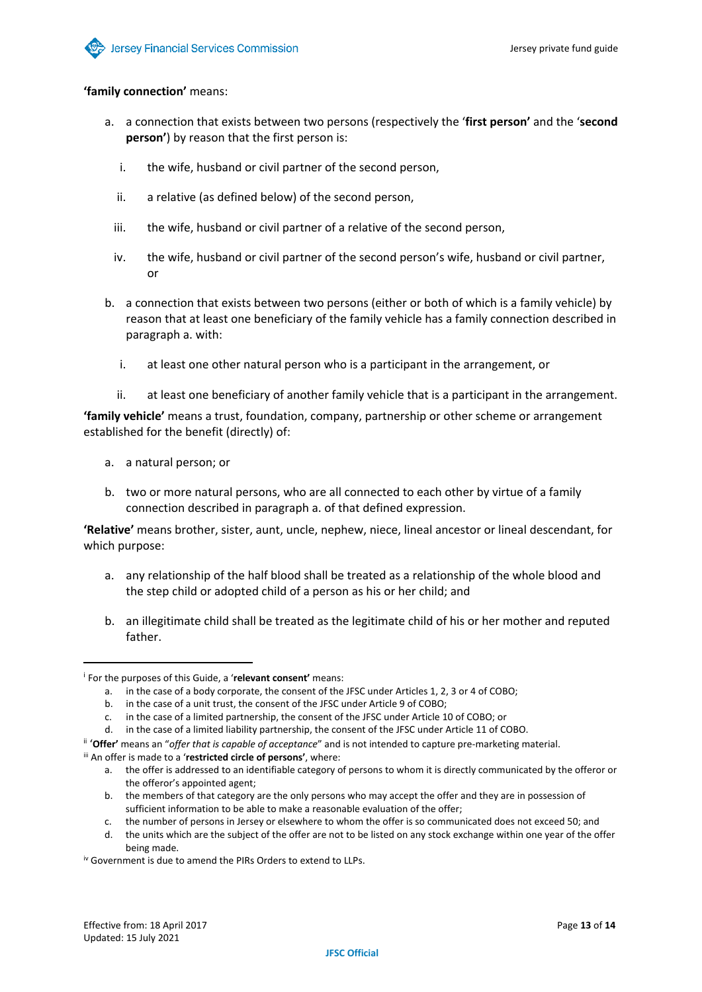#### **'family connection'** means:

- a. a connection that exists between two persons (respectively the '**first person'** and the '**second person'**) by reason that the first person is:
	- i. the wife, husband or civil partner of the second person,
	- ii. a relative (as defined below) of the second person,
	- iii. the wife, husband or civil partner of a relative of the second person,
	- iv. the wife, husband or civil partner of the second person's wife, husband or civil partner, or
- b. a connection that exists between two persons (either or both of which is a family vehicle) by reason that at least one beneficiary of the family vehicle has a family connection described in paragraph a. with:
	- i. at least one other natural person who is a participant in the arrangement, or
	- ii. at least one beneficiary of another family vehicle that is a participant in the arrangement.

**'family vehicle'** means a trust, foundation, company, partnership or other scheme or arrangement established for the benefit (directly) of:

- a. a natural person; or
- b. two or more natural persons, who are all connected to each other by virtue of a family connection described in paragraph a. of that defined expression.

**'Relative'** means brother, sister, aunt, uncle, nephew, niece, lineal ancestor or lineal descendant, for which purpose:

- a. any relationship of the half blood shall be treated as a relationship of the whole blood and the step child or adopted child of a person as his or her child; and
- b. an illegitimate child shall be treated as the legitimate child of his or her mother and reputed father.

<sup>i</sup> For the purposes of this Guide, a '**relevant consent'** means:

a. in the case of a body corporate, the consent of the JFSC under Articles 1, 2, 3 or 4 of COBO;

b. in the case of a unit trust, the consent of the JFSC under Article 9 of COBO;

c. in the case of a limited partnership, the consent of the JFSC under Article 10 of COBO; or

d. in the case of a limited liability partnership, the consent of the JFSC under Article 11 of COBO.

ii '**Offer'** means an "*offer that is capable of acceptance*" and is not intended to capture pre-marketing material.

iii An offer is made to a '**restricted circle of persons'**, where:

a. the offer is addressed to an identifiable category of persons to whom it is directly communicated by the offeror or the offeror's appointed agent;

b. the members of that category are the only persons who may accept the offer and they are in possession of sufficient information to be able to make a reasonable evaluation of the offer;

c. the number of persons in Jersey or elsewhere to whom the offer is so communicated does not exceed 50; and

d. the units which are the subject of the offer are not to be listed on any stock exchange within one year of the offer being made.

iv Government is due to amend the PIRs Orders to extend to LLPs.